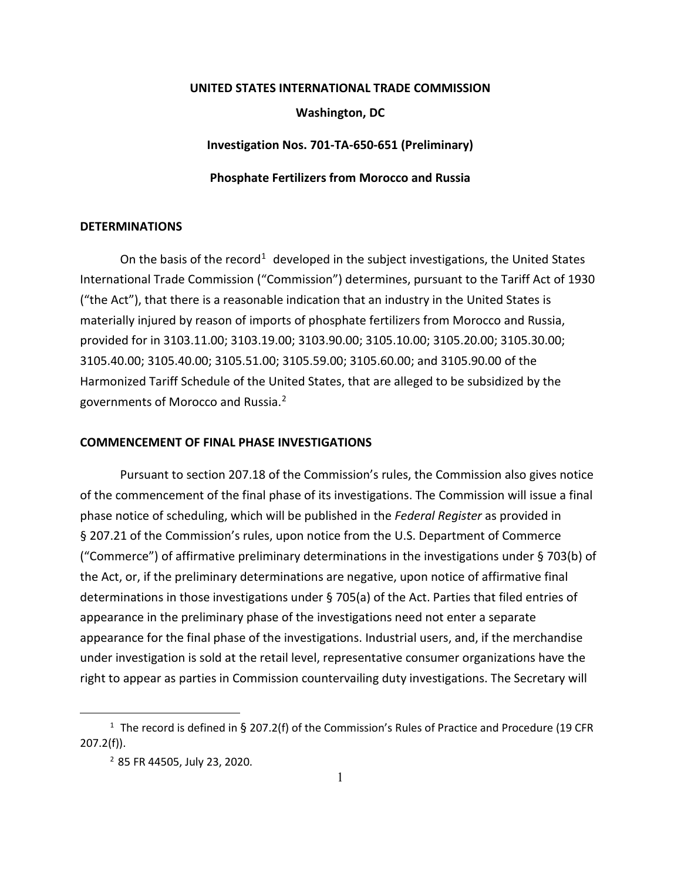## **UNITED STATES INTERNATIONAL TRADE COMMISSION Washington, DC Investigation Nos. 701-TA-650-651 (Preliminary)**

**Phosphate Fertilizers from Morocco and Russia**

## **DETERMINATIONS**

On the basis of the record<sup>[1](#page-0-0)</sup> developed in the subject investigations, the United States International Trade Commission ("Commission") determines, pursuant to the Tariff Act of 1930 ("the Act"), that there is a reasonable indication that an industry in the United States is materially injured by reason of imports of phosphate fertilizers from Morocco and Russia, provided for in 3103.11.00; 3103.19.00; 3103.90.00; 3105.10.00; 3105.20.00; 3105.30.00; 3105.40.00; 3105.40.00; 3105.51.00; 3105.59.00; 3105.60.00; and 3105.90.00 of the Harmonized Tariff Schedule of the United States, that are alleged to be subsidized by the governments of Morocco and Russia. [2](#page-0-1)

## **COMMENCEMENT OF FINAL PHASE INVESTIGATIONS**

Pursuant to section 207.18 of the Commission's rules, the Commission also gives notice of the commencement of the final phase of its investigations. The Commission will issue a final phase notice of scheduling, which will be published in the *Federal Register* as provided in § 207.21 of the Commission's rules, upon notice from the U.S. Department of Commerce ("Commerce") of affirmative preliminary determinations in the investigations under § 703(b) of the Act, or, if the preliminary determinations are negative, upon notice of affirmative final determinations in those investigations under § 705(a) of the Act. Parties that filed entries of appearance in the preliminary phase of the investigations need not enter a separate appearance for the final phase of the investigations. Industrial users, and, if the merchandise under investigation is sold at the retail level, representative consumer organizations have the right to appear as parties in Commission countervailing duty investigations. The Secretary will

<span id="page-0-1"></span><span id="page-0-0"></span><sup>&</sup>lt;sup>1</sup> The record is defined in § 207.2(f) of the Commission's Rules of Practice and Procedure (19 CFR 207.2(f)).

<sup>2</sup> 85 FR 44505, July 23, 2020.